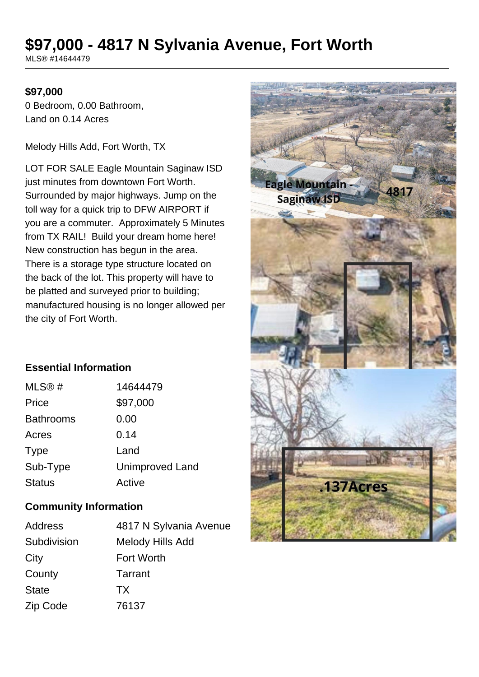# **\$97,000 - 4817 N Sylvania Avenue, Fort Worth**

MLS® #14644479

#### **\$97,000**

0 Bedroom, 0.00 Bathroom, Land on 0.14 Acres

Melody Hills Add, Fort Worth, TX

LOT FOR SALE Eagle Mountain Saginaw ISD just minutes from downtown Fort Worth. Surrounded by major highways. Jump on the toll way for a quick trip to DFW AIRPORT if you are a commuter. Approximately 5 Minutes from TX RAIL! Build your dream home here! New construction has begun in the area. There is a storage type structure located on the back of the lot. This property will have to be platted and surveyed prior to building; manufactured housing is no longer allowed per the city of Fort Worth.

# **Essential Information**

| MLS®#            | 14644479               |
|------------------|------------------------|
| Price            | \$97,000               |
| <b>Bathrooms</b> | 0.00                   |
| Acres            | 0.14                   |
| <b>Type</b>      | Land                   |
| Sub-Type         | <b>Unimproved Land</b> |
| <b>Status</b>    | Active                 |

#### **Community Information**

| <b>Address</b> | 4817 N Sylvania Avenue |
|----------------|------------------------|
| Subdivision    | Melody Hills Add       |
| City           | <b>Fort Worth</b>      |
| County         | Tarrant                |
| <b>State</b>   | <b>TX</b>              |
| Zip Code       | 76137                  |